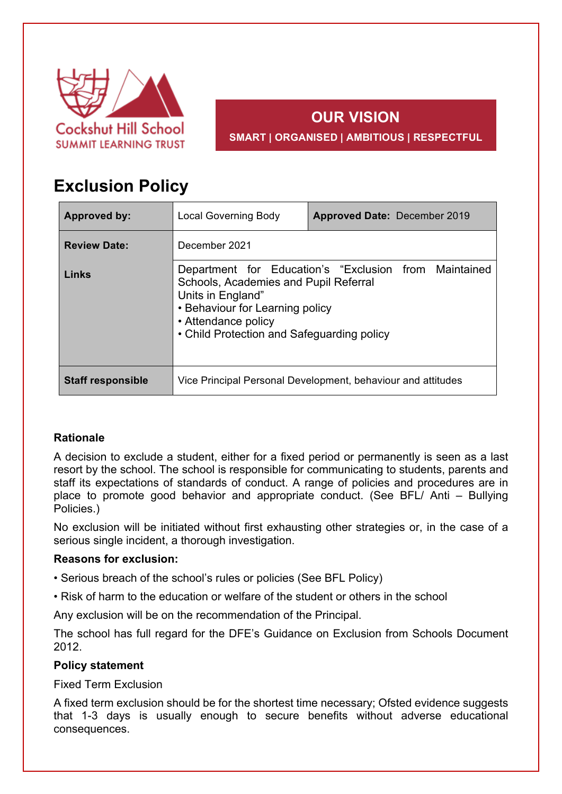

# **OUR VISION SMART | ORGANISED | AMBITIOUS | RESPECTFUL**

# **Exclusion Policy**

| <b>Approved by:</b>      | <b>Local Governing Body</b>                                                                                                                                                                                                 | <b>Approved Date: December 2019</b> |  |
|--------------------------|-----------------------------------------------------------------------------------------------------------------------------------------------------------------------------------------------------------------------------|-------------------------------------|--|
| <b>Review Date:</b>      | December 2021                                                                                                                                                                                                               |                                     |  |
| Links                    | Department for Education's "Exclusion from Maintained<br>Schools, Academies and Pupil Referral<br>Units in England"<br>• Behaviour for Learning policy<br>• Attendance policy<br>• Child Protection and Safeguarding policy |                                     |  |
| <b>Staff responsible</b> | Vice Principal Personal Development, behaviour and attitudes                                                                                                                                                                |                                     |  |

# **Rationale**

A decision to exclude a student, either for a fixed period or permanently is seen as a last resort by the school. The school is responsible for communicating to students, parents and staff its expectations of standards of conduct. A range of policies and procedures are in place to promote good behavior and appropriate conduct. (See BFL/ Anti – Bullying Policies.)

No exclusion will be initiated without first exhausting other strategies or, in the case of a serious single incident, a thorough investigation.

# **Reasons for exclusion:**

- Serious breach of the school's rules or policies (See BFL Policy)
- Risk of harm to the education or welfare of the student or others in the school

Any exclusion will be on the recommendation of the Principal.

The school has full regard for the DFE's Guidance on Exclusion from Schools Document 2012.

# **Policy statement**

Fixed Term Exclusion

A fixed term exclusion should be for the shortest time necessary; Ofsted evidence suggests that 1-3 days is usually enough to secure benefits without adverse educational consequences.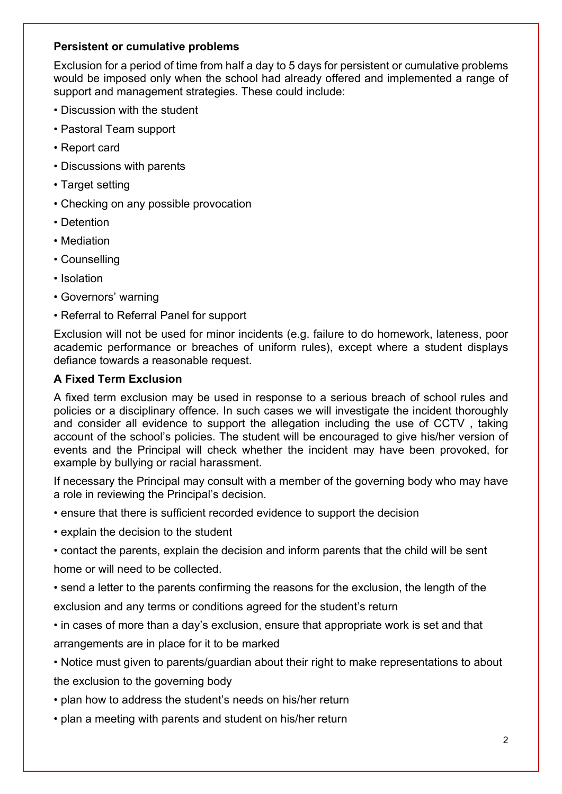### **Persistent or cumulative problems**

Exclusion for a period of time from half a day to 5 days for persistent or cumulative problems would be imposed only when the school had already offered and implemented a range of support and management strategies. These could include:

- Discussion with the student
- Pastoral Team support
- Report card
- Discussions with parents
- Target setting
- Checking on any possible provocation
- Detention
- Mediation
- Counselling
- Isolation
- Governors' warning
- Referral to Referral Panel for support

Exclusion will not be used for minor incidents (e.g. failure to do homework, lateness, poor academic performance or breaches of uniform rules), except where a student displays defiance towards a reasonable request.

# **A Fixed Term Exclusion**

A fixed term exclusion may be used in response to a serious breach of school rules and policies or a disciplinary offence. In such cases we will investigate the incident thoroughly and consider all evidence to support the allegation including the use of CCTV , taking account of the school's policies. The student will be encouraged to give his/her version of events and the Principal will check whether the incident may have been provoked, for example by bullying or racial harassment.

If necessary the Principal may consult with a member of the governing body who may have a role in reviewing the Principal's decision.

• ensure that there is sufficient recorded evidence to support the decision

- explain the decision to the student
- contact the parents, explain the decision and inform parents that the child will be sent home or will need to be collected.

• send a letter to the parents confirming the reasons for the exclusion, the length of the exclusion and any terms or conditions agreed for the student's return

• in cases of more than a day's exclusion, ensure that appropriate work is set and that arrangements are in place for it to be marked

• Notice must given to parents/guardian about their right to make representations to about the exclusion to the governing body

- plan how to address the student's needs on his/her return
- plan a meeting with parents and student on his/her return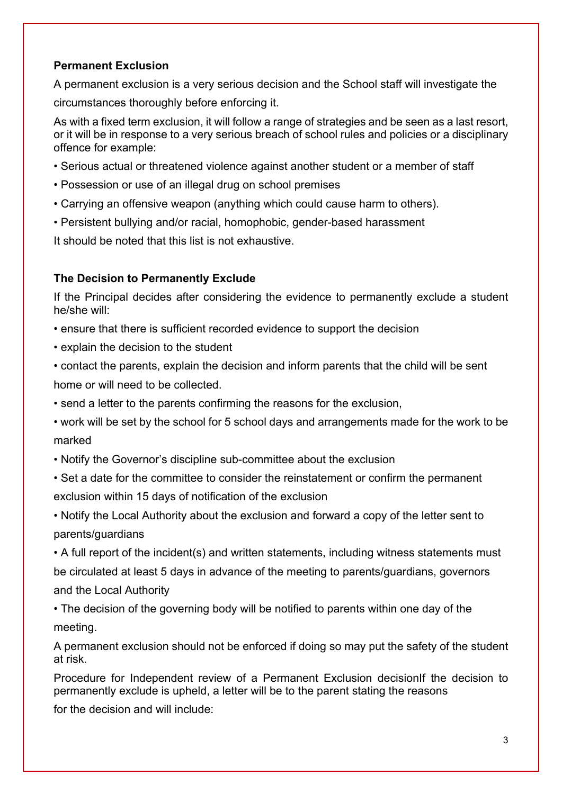# **Permanent Exclusion**

A permanent exclusion is a very serious decision and the School staff will investigate the circumstances thoroughly before enforcing it.

As with a fixed term exclusion, it will follow a range of strategies and be seen as a last resort, or it will be in response to a very serious breach of school rules and policies or a disciplinary offence for example:

- Serious actual or threatened violence against another student or a member of staff
- Possession or use of an illegal drug on school premises
- Carrying an offensive weapon (anything which could cause harm to others).
- Persistent bullying and/or racial, homophobic, gender-based harassment

It should be noted that this list is not exhaustive.

# **The Decision to Permanently Exclude**

If the Principal decides after considering the evidence to permanently exclude a student he/she will:

- ensure that there is sufficient recorded evidence to support the decision
- explain the decision to the student
- contact the parents, explain the decision and inform parents that the child will be sent home or will need to be collected.
- send a letter to the parents confirming the reasons for the exclusion,
- work will be set by the school for 5 school days and arrangements made for the work to be marked
- Notify the Governor's discipline sub-committee about the exclusion
- Set a date for the committee to consider the reinstatement or confirm the permanent exclusion within 15 days of notification of the exclusion

• Notify the Local Authority about the exclusion and forward a copy of the letter sent to parents/guardians

• A full report of the incident(s) and written statements, including witness statements must be circulated at least 5 days in advance of the meeting to parents/guardians, governors and the Local Authority

• The decision of the governing body will be notified to parents within one day of the meeting.

A permanent exclusion should not be enforced if doing so may put the safety of the student at risk.

Procedure for Independent review of a Permanent Exclusion decisionIf the decision to permanently exclude is upheld, a letter will be to the parent stating the reasons

for the decision and will include: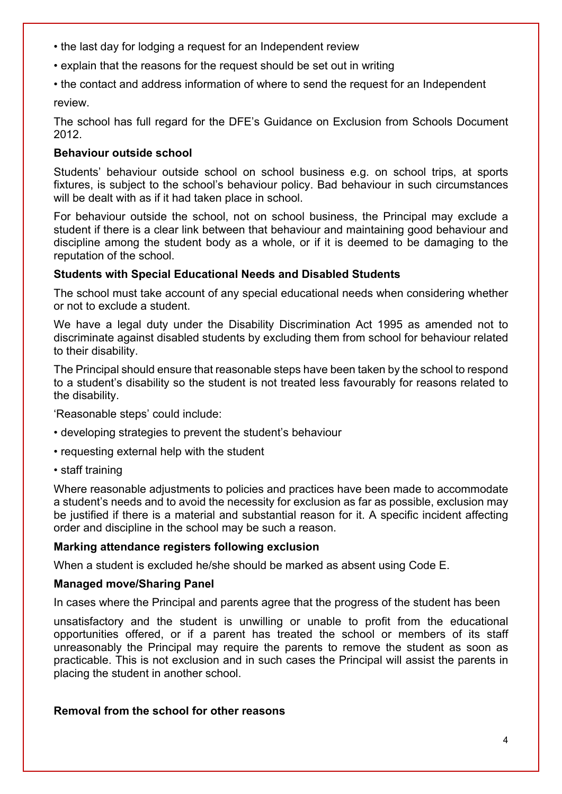- the last day for lodging a request for an Independent review
- explain that the reasons for the request should be set out in writing
- the contact and address information of where to send the request for an Independent

review.

The school has full regard for the DFE's Guidance on Exclusion from Schools Document 2012.

# **Behaviour outside school**

Students' behaviour outside school on school business e.g. on school trips, at sports fixtures, is subject to the school's behaviour policy. Bad behaviour in such circumstances will be dealt with as if it had taken place in school.

For behaviour outside the school, not on school business, the Principal may exclude a student if there is a clear link between that behaviour and maintaining good behaviour and discipline among the student body as a whole, or if it is deemed to be damaging to the reputation of the school.

# **Students with Special Educational Needs and Disabled Students**

The school must take account of any special educational needs when considering whether or not to exclude a student.

We have a legal duty under the Disability Discrimination Act 1995 as amended not to discriminate against disabled students by excluding them from school for behaviour related to their disability.

The Principal should ensure that reasonable steps have been taken by the school to respond to a student's disability so the student is not treated less favourably for reasons related to the disability.

'Reasonable steps' could include:

- developing strategies to prevent the student's behaviour
- requesting external help with the student
- staff training

Where reasonable adjustments to policies and practices have been made to accommodate a student's needs and to avoid the necessity for exclusion as far as possible, exclusion may be justified if there is a material and substantial reason for it. A specific incident affecting order and discipline in the school may be such a reason.

#### **Marking attendance registers following exclusion**

When a student is excluded he/she should be marked as absent using Code E.

#### **Managed move/Sharing Panel**

In cases where the Principal and parents agree that the progress of the student has been

unsatisfactory and the student is unwilling or unable to profit from the educational opportunities offered, or if a parent has treated the school or members of its staff unreasonably the Principal may require the parents to remove the student as soon as practicable. This is not exclusion and in such cases the Principal will assist the parents in placing the student in another school.

### **Removal from the school for other reasons**